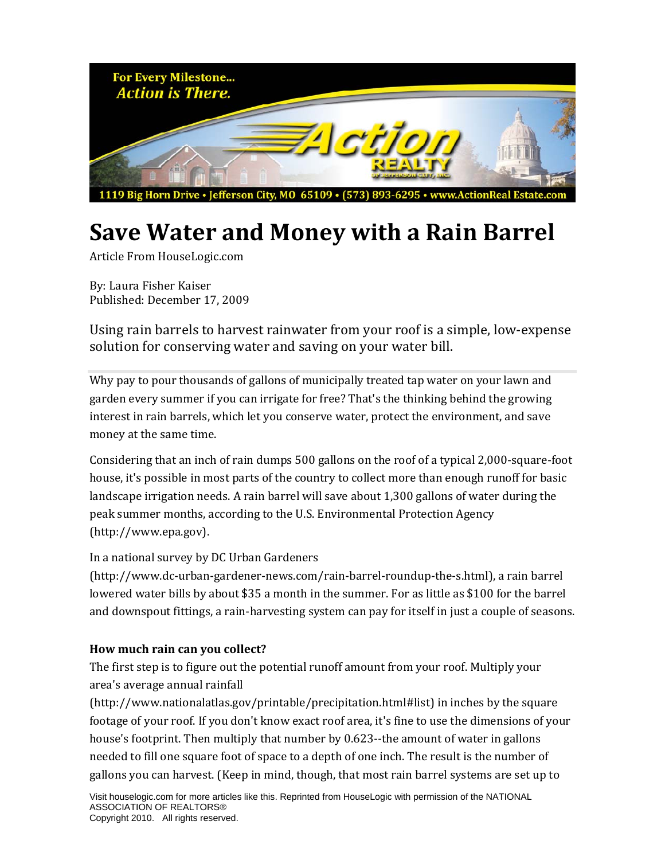

# **Save Water and Money with a Rain Barrel**

Article From HouseLogic.com

By: Laura Fisher Kaiser Published: December 17, 2009

Using rain barrels to harvest rainwater from your roof is a simple, low‐expense solution for conserving water and saving on your water bill.

Why pay to pour thousands of gallons of municipally treated tap water on your lawn and garden every summer if you can irrigate for free? That's the thinking behind the growing interest in rain barrels, which let you conserve water, protect the environment, and save money at the same time.

Considering that an inch of rain dumps 500 gallons on the roof of a typical 2,000‐square‐foot house, it's possible in most parts of the country to collect more than enough runoff for basic landscape irrigation needs. A rain barrel will save about 1,300 gallons of water during the peak summer months, according to the U.S. Environmental Protection Agency (http://www.epa.gov).

### In a national survey by DC Urban Gardeners

(http://www.dc‐urban‐gardener‐news.com/rain‐barrel‐roundup‐the‐s.html), a rain barrel lowered water bills by about \$35 a month in the summer. For as little as \$100 for the barrel and downspout fittings, a rain‐harvesting system can pay for itself in just a couple of seasons.

### **How much rain can you collect?**

The first step is to figure out the potential runoff amount from your roof. Multiply your area's average annual rainfall

(http://www.nationalatlas.gov/printable/precipitation.html#list) in inches by the square footage of your roof. If you don't know exact roof area, it's fine to use the dimensions of your house's footprint. Then multiply that number by 0.623--the amount of water in gallons needed to fill one square foot of space to a depth of one inch. The result is the number of gallons you can harvest. (Keep in mind, though, that most rain barrel systems are set up to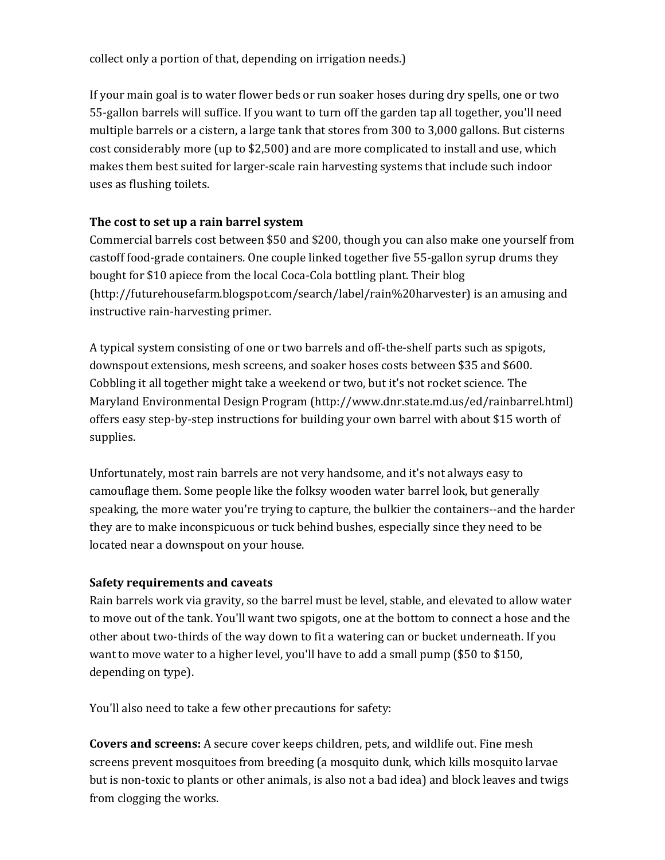collect only a portion of that, depending on irrigation needs.)

If your main goal is to water flower beds or run soaker hoses during dry spells, one or two 55‐gallon barrels will suffice. If you want to turn off the garden tap all together, you'll need multiple barrels or a cistern, a large tank that stores from 300 to 3,000 gallons. But cisterns cost considerably more (up to \$2,500) and are more complicated to install and use, which makes them best suited for larger‐scale rain harvesting systems that include such indoor uses as flushing toilets.

### **The cost to set up a rain barrel system**

Commercial barrels cost between \$50 and \$200, though you can also make one yourself from castoff food‐grade containers. One couple linked together five 55‐gallon syrup drums they bought for \$10 apiece from the local Coca‐Cola bottling plant. Their blog (http://futurehousefarm.blogspot.com/search/label/rain%20harvester) is an amusing and instructive rain‐harvesting primer.

A typical system consisting of one or two barrels and off-the-shelf parts such as spigots, downspout extensions, mesh screens, and soaker hoses costs between \$35 and \$600. Cobbling it all together might take a weekend or two, but it's not rocket science. The Maryland Environmental Design Program (http://www.dnr.state.md.us/ed/rainbarrel.html) offers easy step‐by‐step instructions for building your own barrel with about \$15 worth of supplies.

Unfortunately, most rain barrels are not very handsome, and it's not always easy to camouflage them. Some people like the folksy wooden water barrel look, but generally speaking, the more water you're trying to capture, the bulkier the containers--and the harder they are to make inconspicuous or tuck behind bushes, especially since they need to be located near a downspout on your house.

#### **Safety requirements and caveats**

Rain barrels work via gravity, so the barrel must be level, stable, and elevated to allow water to move out of the tank. You'll want two spigots, one at the bottom to connect a hose and the other about two‐thirds of the way down to fit a watering can or bucket underneath. If you want to move water to a higher level, you'll have to add a small pump (\$50 to \$150, depending on type).

You'll also need to take a few other precautions for safety:

**Covers and screens:** A secure cover keeps children, pets, and wildlife out. Fine mesh screens prevent mosquitoes from breeding (a mosquito dunk, which kills mosquito larvae but is non‐toxic to plants or other animals, is also not a bad idea) and block leaves and twigs from clogging the works.